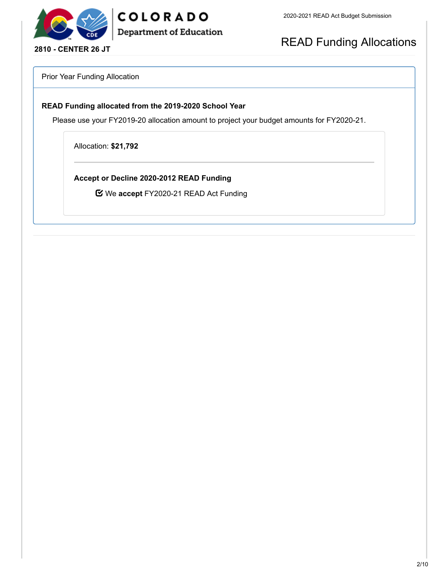

READ Funding Allocations

Prior Year Funding Allocation

#### **READ Funding allocated from the 2019-2020 School Year**

COLORADO

**Department of Education** 

Please use your FY2019-20 allocation amount to project your budget amounts for FY2020-21.

Allocation: **\$21,792**

**Accept or Decline 2020-2012 READ Funding**

We **accept** FY2020-21 READ Act Funding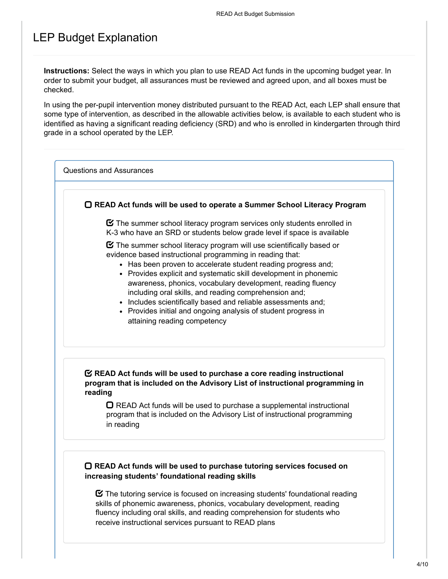## LEP Budget Explanation

**Instructions:** Select the ways in which you plan to use READ Act funds in the upcoming budget year. In order to submit your budget, all assurances must be reviewed and agreed upon, and all boxes must be checked.

In using the per-pupil intervention money distributed pursuant to the READ Act, each LEP shall ensure that some type of intervention, as described in the allowable activities below, is available to each student who is identified as having a significant reading deficiency (SRD) and who is enrolled in kindergarten through third grade in a school operated by the LEP.

Questions and Assurances

**READ Act funds will be used to operate a Summer School Literacy Program**

 $\boldsymbol{\heartsuit}$  The summer school literacy program services only students enrolled in K-3 who have an SRD or students below grade level if space is available

 $\boldsymbol{\Xi}$  The summer school literacy program will use scientifically based or evidence based instructional programming in reading that:

- Has been proven to accelerate student reading progress and:
- Provides explicit and systematic skill development in phonemic awareness, phonics, vocabulary development, reading fluency including oral skills, and reading comprehension and;
- Includes scientifically based and reliable assessments and;
- Provides initial and ongoing analysis of student progress in attaining reading competency

#### **READ Act funds will be used to purchase a core reading instructional program that is included on the Advisory List of instructional programming in reading**

 $\Box$  READ Act funds will be used to purchase a supplemental instructional program that is included on the Advisory List of instructional programming in reading

#### **READ Act funds will be used to purchase tutoring services focused on increasing students' foundational reading skills**

 $\boldsymbol{\heartsuit}$  The tutoring service is focused on increasing students' foundational reading skills of phonemic awareness, phonics, vocabulary development, reading fluency including oral skills, and reading comprehension for students who receive instructional services pursuant to READ plans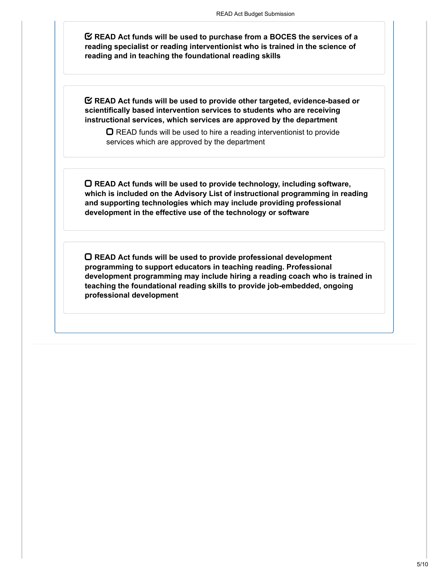**READ Act funds will be used to purchase from a BOCES the services of a reading specialist or reading interventionist who is trained in the science of reading and in teaching the foundational reading skills**

**READ Act funds will be used to provide other targeted, evidence-based or scientifically based intervention services to students who are receiving instructional services, which services are approved by the department**

 $\Box$  READ funds will be used to hire a reading interventionist to provide services which are approved by the department

**READ Act funds will be used to provide technology, including software, which is included on the Advisory List of instructional programming in reading and supporting technologies which may include providing professional development in the effective use of the technology or software**

**READ Act funds will be used to provide professional development programming to support educators in teaching reading. Professional development programming may include hiring a reading coach who is trained in teaching the foundational reading skills to provide job-embedded, ongoing professional development**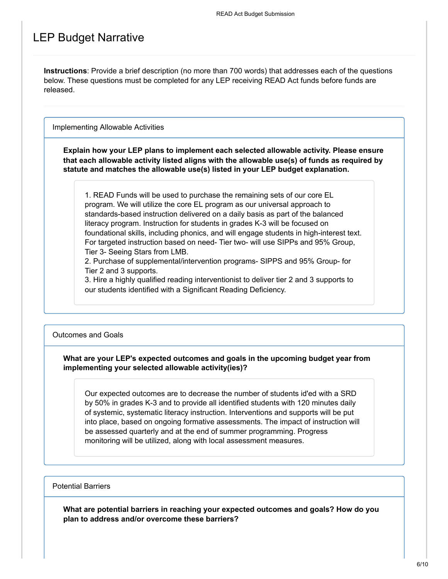### LEP Budget Narrative

**Instructions**: Provide a brief description (no more than 700 words) that addresses each of the questions below. These questions must be completed for any LEP receiving READ Act funds before funds are released.

Implementing Allowable Activities

**Explain how your LEP plans to implement each selected allowable activity. Please ensure that each allowable activity listed aligns with the allowable use(s) of funds as required by statute and matches the allowable use(s) listed in your LEP budget explanation.**

1. READ Funds will be used to purchase the remaining sets of our core EL program. We will utilize the core EL program as our universal approach to standards-based instruction delivered on a daily basis as part of the balanced literacy program. Instruction for students in grades K-3 will be focused on foundational skills, including phonics, and will engage students in high-interest text. For targeted instruction based on need- Tier two- will use SIPPs and 95% Group, Tier 3- Seeing Stars from LMB.

2. Purchase of supplemental/intervention programs- SIPPS and 95% Group- for Tier 2 and 3 supports.

3. Hire a highly qualified reading interventionist to deliver tier 2 and 3 supports to our students identified with a Significant Reading Deficiency.

#### Outcomes and Goals

#### **What are your LEP's expected outcomes and goals in the upcoming budget year from implementing your selected allowable activity(ies)?**

Our expected outcomes are to decrease the number of students id'ed with a SRD by 50% in grades K-3 and to provide all identified students with 120 minutes daily of systemic, systematic literacy instruction. Interventions and supports will be put into place, based on ongoing formative assessments. The impact of instruction will be assessed quarterly and at the end of summer programming. Progress monitoring will be utilized, along with local assessment measures.

#### Potential Barriers

**What are potential barriers in reaching your expected outcomes and goals? How do you plan to address and/or overcome these barriers?**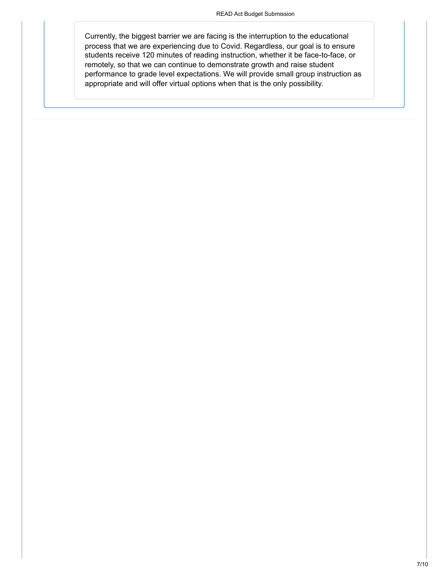Currently, the biggest barrier we are facing is the interruption to the educational process that we are experiencing due to Covid. Regardless, our goal is to ensure students receive 120 minutes of reading instruction, whether it be face-to-face, or remotely, so that we can continue to demonstrate growth and raise student performance to grade level expectations. We will provide small group instruction as appropriate and will offer virtual options when that is the only possibility.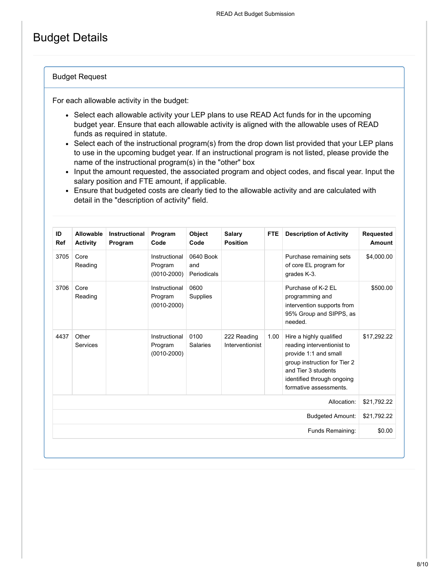## Budget Details

#### Budget Request

For each allowable activity in the budget:

- Select each allowable activity your LEP plans to use READ Act funds for in the upcoming budget year. Ensure that each allowable activity is aligned with the allowable uses of READ funds as required in statute.
- Select each of the instructional program(s) from the drop down list provided that your LEP plans to use in the upcoming budget year. If an instructional program is not listed, please provide the name of the instructional program(s) in the "other" box
- Input the amount requested, the associated program and object codes, and fiscal year. Input the salary position and FTE amount, if applicable.
- Ensure that budgeted costs are clearly tied to the allowable activity and are calculated with detail in the "description of activity" field.

| ID<br><b>Ref</b>        | Allowable<br><b>Activity</b> | <b>Instructional</b><br>Program | Program<br>Code                             | Object<br>Code                  | <b>Salary</b><br><b>Position</b> | <b>FTE</b> | <b>Description of Activity</b>                                                                                                                                                                | <b>Requested</b><br>Amount |
|-------------------------|------------------------------|---------------------------------|---------------------------------------------|---------------------------------|----------------------------------|------------|-----------------------------------------------------------------------------------------------------------------------------------------------------------------------------------------------|----------------------------|
| 3705                    | Core<br>Reading              |                                 | Instructional<br>Program<br>$(0010 - 2000)$ | 0640 Book<br>and<br>Periodicals |                                  |            | Purchase remaining sets<br>of core EL program for<br>grades K-3.                                                                                                                              | \$4,000.00                 |
| 3706                    | Core<br>Reading              |                                 | Instructional<br>Program<br>$(0010 - 2000)$ | 0600<br>Supplies                |                                  |            | Purchase of K-2 EL<br>programming and<br>intervention supports from<br>95% Group and SIPPS, as<br>needed.                                                                                     | \$500.00                   |
| 4437                    | Other<br><b>Services</b>     |                                 | Instructional<br>Program<br>$(0010 - 2000)$ | 0100<br><b>Salaries</b>         | 222 Reading<br>Interventionist   | 1.00       | Hire a highly qualified<br>reading interventionist to<br>provide 1:1 and small<br>group instruction for Tier 2<br>and Tier 3 students<br>identified through ongoing<br>formative assessments. | \$17,292.22                |
|                         |                              |                                 |                                             |                                 |                                  |            | Allocation:                                                                                                                                                                                   | \$21,792.22                |
| <b>Budgeted Amount:</b> |                              |                                 |                                             |                                 |                                  |            |                                                                                                                                                                                               |                            |
|                         |                              |                                 |                                             |                                 |                                  |            | Funds Remaining:                                                                                                                                                                              | \$0.00                     |